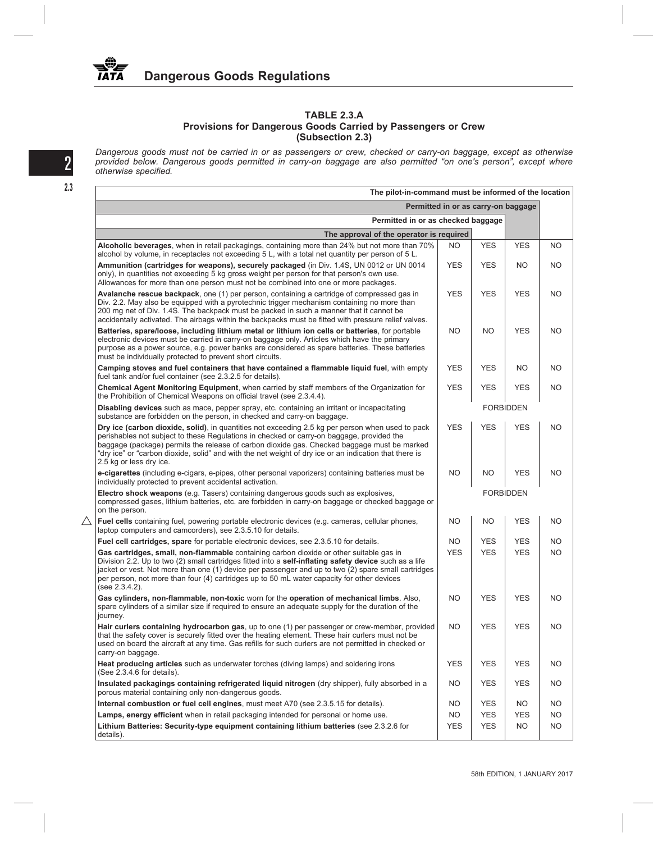## **TABLE 2.3.A Provisions for Dangerous Goods Carried by Passengers or Crew (Subsection 2.3)**

*Dangerous goods must not be carried in or as passengers or crew, checked or carry-on baggage, except as otherwise provided below. Dangerous goods permitted in carry-on baggage are also permitted "on one's person", except where* 2 *otherwise specified.*

| The pilot-in-command must be informed of the location                                                                                                                                                                                                                                                                                                                                                                             |                                     |            |            |           |
|-----------------------------------------------------------------------------------------------------------------------------------------------------------------------------------------------------------------------------------------------------------------------------------------------------------------------------------------------------------------------------------------------------------------------------------|-------------------------------------|------------|------------|-----------|
|                                                                                                                                                                                                                                                                                                                                                                                                                                   | Permitted in or as carry-on baggage |            |            |           |
| Permitted in or as checked baggage                                                                                                                                                                                                                                                                                                                                                                                                |                                     |            |            |           |
| The approval of the operator is required                                                                                                                                                                                                                                                                                                                                                                                          |                                     |            |            |           |
| Alcoholic beverages, when in retail packagings, containing more than 24% but not more than 70%<br>alcohol by volume, in receptacles not exceeding 5 L, with a total net quantity per person of 5 L.                                                                                                                                                                                                                               | NO.                                 | <b>YES</b> | <b>YES</b> | NO.       |
| Ammunition (cartridges for weapons), securely packaged (in Div. 1.4S, UN 0012 or UN 0014<br>only), in quantities not exceeding 5 kg gross weight per person for that person's own use.<br>Allowances for more than one person must not be combined into one or more packages.                                                                                                                                                     | <b>YES</b>                          | <b>YES</b> | NO.        | NO.       |
| Avalanche rescue backpack, one (1) per person, containing a cartridge of compressed gas in<br>Div. 2.2. May also be equipped with a pyrotechnic trigger mechanism containing no more than<br>200 mg net of Div. 1.4S. The backpack must be packed in such a manner that it cannot be<br>accidentally activated. The airbags within the backpacks must be fitted with pressure relief valves.                                      | <b>YES</b>                          | <b>YES</b> | <b>YES</b> | <b>NO</b> |
| Batteries, spare/loose, including lithium metal or lithium ion cells or batteries, for portable<br>electronic devices must be carried in carry-on baggage only. Articles which have the primary<br>purpose as a power source, e.g. power banks are considered as spare batteries. These batteries<br>must be individually protected to prevent short circuits.                                                                    | <b>NO</b>                           | NO.        | <b>YES</b> | <b>NO</b> |
| Camping stoves and fuel containers that have contained a flammable liquid fuel, with empty<br>fuel tank and/or fuel container (see 2.3.2.5 for details).                                                                                                                                                                                                                                                                          | <b>YES</b>                          | <b>YES</b> | NO.        | <b>NO</b> |
| Chemical Agent Monitoring Equipment, when carried by staff members of the Organization for<br>the Prohibition of Chemical Weapons on official travel (see 2.3.4.4).                                                                                                                                                                                                                                                               | <b>YES</b>                          | <b>YES</b> | <b>YES</b> | <b>NO</b> |
| <b>Disabling devices</b> such as mace, pepper spray, etc. containing an irritant or incapacitating<br>substance are forbidden on the person, in checked and carry-on baggage.                                                                                                                                                                                                                                                     |                                     |            |            |           |
| Dry ice (carbon dioxide, solid), in quantities not exceeding 2.5 kg per person when used to pack<br>perishables not subject to these Regulations in checked or carry-on baggage, provided the<br>baggage (package) permits the release of carbon dioxide gas. Checked baggage must be marked<br>"dry ice" or "carbon dioxide, solid" and with the net weight of dry ice or an indication that there is<br>2.5 kg or less dry ice. | <b>YES</b>                          | <b>YES</b> | <b>YES</b> | <b>NO</b> |
| e-cigarettes (including e-cigars, e-pipes, other personal vaporizers) containing batteries must be<br>individually protected to prevent accidental activation.                                                                                                                                                                                                                                                                    | NO.                                 | NO.        | <b>YES</b> | <b>NO</b> |
| Electro shock weapons (e.g. Tasers) containing dangerous goods such as explosives,<br>compressed gases, lithium batteries, etc. are forbidden in carry-on baggage or checked baggage or<br>on the person.                                                                                                                                                                                                                         |                                     |            |            |           |
| Fuel cells containing fuel, powering portable electronic devices (e.g. cameras, cellular phones,<br>laptop computers and camcorders), see 2.3.5.10 for details.                                                                                                                                                                                                                                                                   | <b>NO</b>                           | NO.        | <b>YES</b> | NO        |
| Fuel cell cartridges, spare for portable electronic devices, see 2.3.5.10 for details.                                                                                                                                                                                                                                                                                                                                            | NO.                                 | <b>YES</b> | <b>YES</b> | NO.       |
| Gas cartridges, small, non-flammable containing carbon dioxide or other suitable gas in<br>Division 2.2. Up to two (2) small cartridges fitted into a self-inflating safety device such as a life<br>jacket or vest. Not more than one (1) device per passenger and up to two (2) spare small cartridges<br>per person, not more than four (4) cartridges up to 50 mL water capacity for other devices<br>(see 2.3.4.2).          | <b>YES</b>                          | <b>YES</b> | <b>YES</b> | NO.       |
| Gas cylinders, non-flammable, non-toxic worn for the operation of mechanical limbs. Also,<br>spare cylinders of a similar size if required to ensure an adequate supply for the duration of the<br>journey.                                                                                                                                                                                                                       | <b>NO</b>                           | <b>YES</b> | <b>YES</b> | <b>NO</b> |
| Hair curlers containing hydrocarbon gas, up to one (1) per passenger or crew-member, provided<br>that the safety cover is securely fitted over the heating element. These hair curlers must not be<br>used on board the aircraft at any time. Gas refills for such curlers are not permitted in checked or<br>carry-on baggage.                                                                                                   | NO.                                 | YES        | YES        | NO.       |
| Heat producing articles such as underwater torches (diving lamps) and soldering irons<br>(See 2.3.4.6 for details).                                                                                                                                                                                                                                                                                                               | <b>YES</b>                          | <b>YES</b> | <b>YES</b> | NO.       |
| Insulated packagings containing refrigerated liquid nitrogen (dry shipper), fully absorbed in a<br>porous material containing only non-dangerous goods.                                                                                                                                                                                                                                                                           | NO.                                 | <b>YES</b> | YES        | NO.       |
| Internal combustion or fuel cell engines, must meet A70 (see 2.3.5.15 for details).                                                                                                                                                                                                                                                                                                                                               | NO.                                 | <b>YES</b> | NO.        | NO.       |
| Lamps, energy efficient when in retail packaging intended for personal or home use.                                                                                                                                                                                                                                                                                                                                               | NO.                                 | <b>YES</b> | <b>YES</b> | NO.       |
| Lithium Batteries: Security-type equipment containing lithium batteries (see 2.3.2.6 for<br>details).                                                                                                                                                                                                                                                                                                                             | <b>YES</b>                          | <b>YES</b> | <b>NO</b>  | <b>NO</b> |